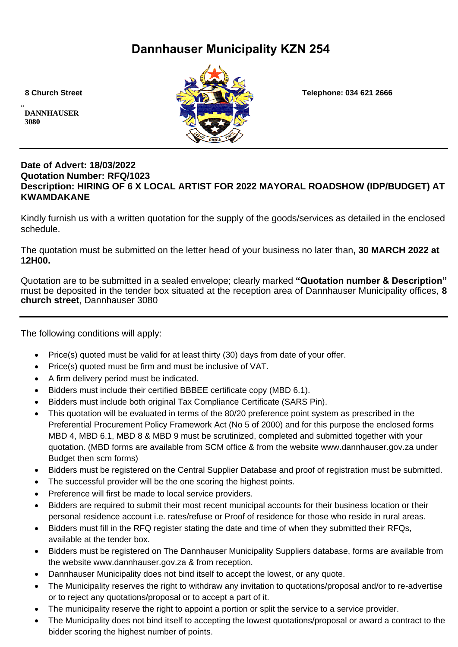# **Dannhauser Municipality KZN 254**

**.. DANNHAUSER 3080** 



 **8 Church Street Telephone: 034 621 2666**

#### **Date of Advert: 18/03/2022 Quotation Number: RFQ/1023 Description: HIRING OF 6 X LOCAL ARTIST FOR 2022 MAYORAL ROADSHOW (IDP/BUDGET) AT KWAMDAKANE**

Kindly furnish us with a written quotation for the supply of the goods/services as detailed in the enclosed schedule.

The quotation must be submitted on the letter head of your business no later than**, 30 MARCH 2022 at 12H00.**

Quotation are to be submitted in a sealed envelope; clearly marked **"Quotation number & Description"** must be deposited in the tender box situated at the reception area of Dannhauser Municipality offices, **8 church street**, Dannhauser 3080

The following conditions will apply:

- Price(s) quoted must be valid for at least thirty (30) days from date of your offer.
- Price(s) quoted must be firm and must be inclusive of VAT.
- A firm delivery period must be indicated.
- Bidders must include their certified BBBEE certificate copy (MBD 6.1).
- Bidders must include both original Tax Compliance Certificate (SARS Pin).
- This quotation will be evaluated in terms of the 80/20 preference point system as prescribed in the Preferential Procurement Policy Framework Act (No 5 of 2000) and for this purpose the enclosed forms MBD 4, MBD 6.1, MBD 8 & MBD 9 must be scrutinized, completed and submitted together with your quotation. (MBD forms are available from SCM office & from the website www.dannhauser.gov.za under Budget then scm forms)
- Bidders must be registered on the Central Supplier Database and proof of registration must be submitted.
- The successful provider will be the one scoring the highest points.
- Preference will first be made to local service providers.
- Bidders are required to submit their most recent municipal accounts for their business location or their personal residence account i.e. rates/refuse or Proof of residence for those who reside in rural areas.
- Bidders must fill in the RFQ register stating the date and time of when they submitted their RFQs, available at the tender box.
- Bidders must be registered on The Dannhauser Municipality Suppliers database, forms are available from the website www.dannhauser.gov.za & from reception.
- Dannhauser Municipality does not bind itself to accept the lowest, or any quote.
- The Municipality reserves the right to withdraw any invitation to quotations/proposal and/or to re-advertise or to reject any quotations/proposal or to accept a part of it.
- The municipality reserve the right to appoint a portion or split the service to a service provider.
- The Municipality does not bind itself to accepting the lowest quotations/proposal or award a contract to the bidder scoring the highest number of points.